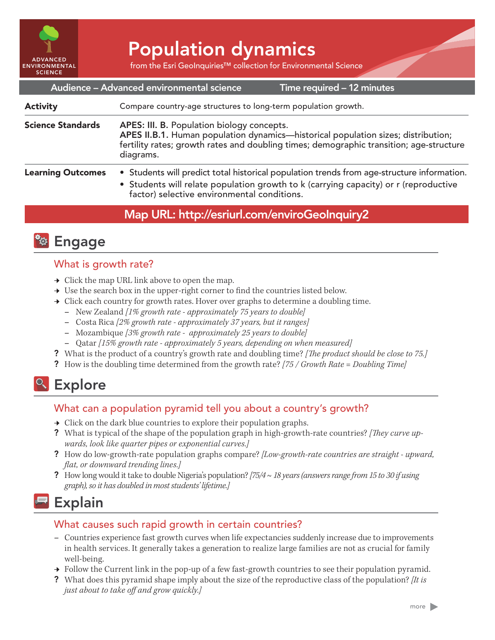

# Population dynamics

from the Esri GeoInquiries™ collection for Environmental Science

| Audience - Advanced environmental science<br>Time required - 12 minutes |                                                                                                                                                                                                                                         |
|-------------------------------------------------------------------------|-----------------------------------------------------------------------------------------------------------------------------------------------------------------------------------------------------------------------------------------|
| <b>Activity</b>                                                         | Compare country-age structures to long-term population growth.                                                                                                                                                                          |
| <b>Science Standards</b>                                                | APES: III. B. Population biology concepts.<br>APES II.B.1. Human population dynamics—historical population sizes; distribution;<br>fertility rates; growth rates and doubling times; demographic transition; age-structure<br>diagrams. |
| <b>Learning Outcomes</b>                                                | • Students will predict total historical population trends from age-structure information.<br>• Students will relate population growth to k (carrying capacity) or r (reproductive<br>factor) selective environmental conditions.       |

## Map URL: http://esriurl.com/enviroGeoInquiry2



#### What is growth rate?

- $\rightarrow$  Click the map URL link above to open the map.
- → Use the search box in the upper-right corner to find the countries listed below.
- → Click each country for growth rates. Hover over graphs to determine a doubling time.
	- **–** New Zealand *[1% growth rate approximately 75 years to double]*
	- **–** Costa Rica *[2% growth rate approximately 37 years, but it ranges]*
	- **–** Mozambique *[3% growth rate approximately 25 years to double]*
	- **–** Qatar *[15% growth rate approximately 5 years, depending on when measured]*
- ? What is the product of a country's growth rate and doubling time? *[The product should be close to 75.]*
- ? How is the doubling time determined from the growth rate? *[75 / Growth Rate = Doubling Time]*

## <sup>o</sup> Explore

### What can a population pyramid tell you about a country's growth?

- $\rightarrow$  Click on the dark blue countries to explore their population graphs.
- ? What is typical of the shape of the population graph in high-growth-rate countries? *[They curve upwards, look like quarter pipes or exponential curves.]*
- ? How do low-growth-rate population graphs compare? *[Low-growth-rate countries are straight upward, flat, or downward trending lines.]*
- ? How long would it take to double Nigeria's population? *[75/4 ~ 18 years (answers range from 15 to 30 if using graph), so it has doubled in most students' lifetime.]*

## Explain

#### What causes such rapid growth in certain countries?

- **–** Countries experience fast growth curves when life expectancies suddenly increase due to improvements in health services. It generally takes a generation to realize large families are not as crucial for family well-being.
- → Follow the Current link in the pop-up of a few fast-growth countries to see their population pyramid.
- ? What does this pyramid shape imply about the size of the reproductive class of the population? *[It is just about to take off and grow quickly.]*